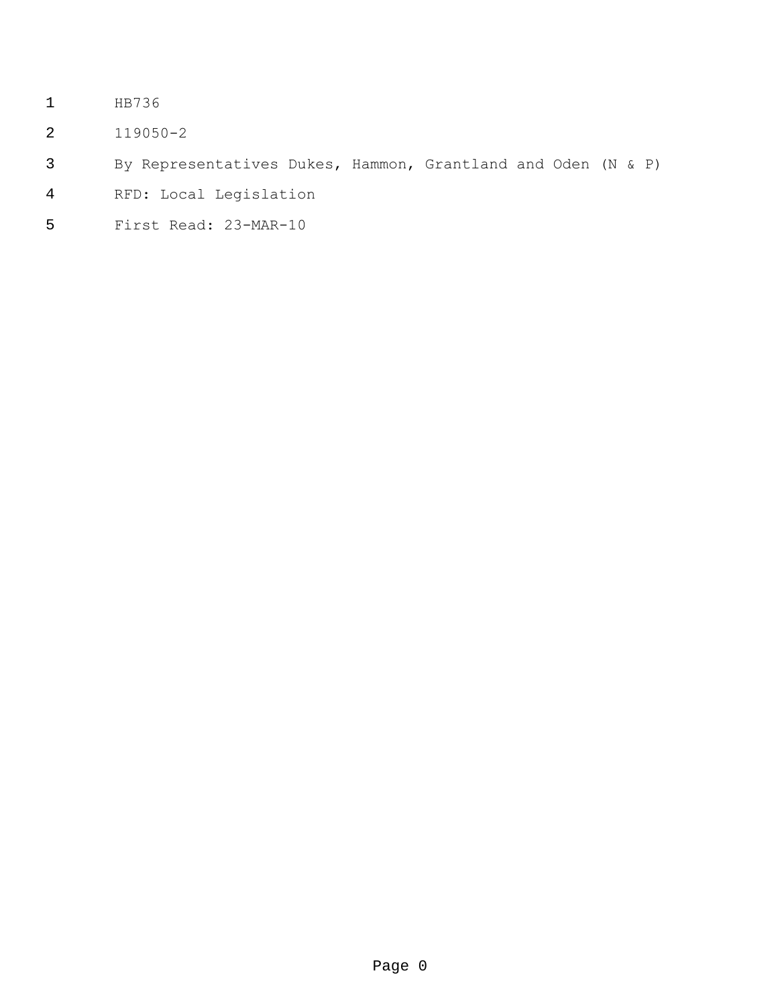- HB736
- 119050-2
- By Representatives Dukes, Hammon, Grantland and Oden (N & P)
- RFD: Local Legislation
- First Read: 23-MAR-10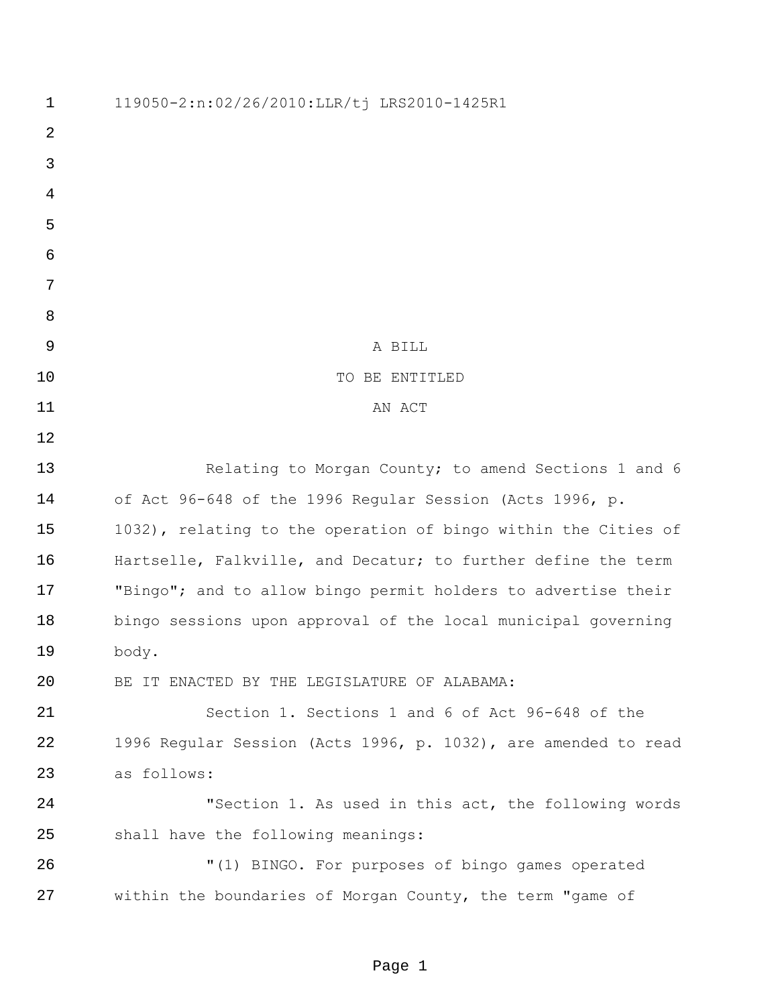| $\mathbf 1$ | 119050-2:n:02/26/2010:LLR/tj LRS2010-1425R1                    |
|-------------|----------------------------------------------------------------|
| 2           |                                                                |
| 3           |                                                                |
| 4           |                                                                |
| 5           |                                                                |
| 6           |                                                                |
| 7           |                                                                |
| 8           |                                                                |
| 9           | A BILL                                                         |
| 10          | TO BE ENTITLED                                                 |
| 11          | AN ACT                                                         |
| 12          |                                                                |
| 13          | Relating to Morgan County; to amend Sections 1 and 6           |
| 14          | of Act 96-648 of the 1996 Regular Session (Acts 1996, p.       |
| 15          | 1032), relating to the operation of bingo within the Cities of |
| 16          | Hartselle, Falkville, and Decatur; to further define the term  |
| 17          | "Bingo"; and to allow bingo permit holders to advertise their  |
| 18          | bingo sessions upon approval of the local municipal governing  |
| 19          | body.                                                          |
| 20          | BE IT ENACTED BY THE LEGISLATURE OF ALABAMA:                   |
| 21          | Section 1. Sections 1 and 6 of Act 96-648 of the               |
| 22          | 1996 Regular Session (Acts 1996, p. 1032), are amended to read |
| 23          | as follows:                                                    |
| 24          | "Section 1. As used in this act, the following words           |
| 25          | shall have the following meanings:                             |
| 26          | "(1) BINGO. For purposes of bingo games operated               |
| 27          | within the boundaries of Morgan County, the term "game of      |
|             |                                                                |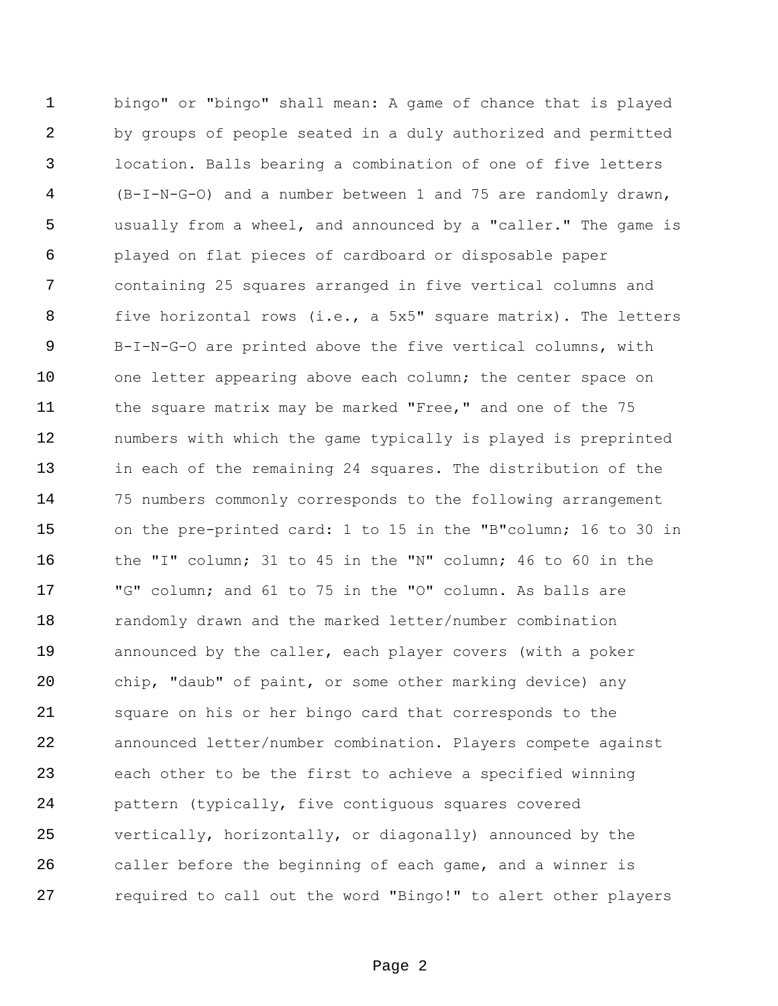bingo" or "bingo" shall mean: A game of chance that is played by groups of people seated in a duly authorized and permitted location. Balls bearing a combination of one of five letters (B-I-N-G-O) and a number between 1 and 75 are randomly drawn, usually from a wheel, and announced by a "caller." The game is played on flat pieces of cardboard or disposable paper containing 25 squares arranged in five vertical columns and five horizontal rows (i.e., a 5x5" square matrix). The letters B-I-N-G-O are printed above the five vertical columns, with 10 one letter appearing above each column; the center space on 11 the square matrix may be marked "Free," and one of the 75 numbers with which the game typically is played is preprinted in each of the remaining 24 squares. The distribution of the 75 numbers commonly corresponds to the following arrangement on the pre-printed card: 1 to 15 in the "B"column; 16 to 30 in the "I" column; 31 to 45 in the "N" column; 46 to 60 in the "G" column; and 61 to 75 in the "O" column. As balls are randomly drawn and the marked letter/number combination announced by the caller, each player covers (with a poker chip, "daub" of paint, or some other marking device) any square on his or her bingo card that corresponds to the announced letter/number combination. Players compete against each other to be the first to achieve a specified winning pattern (typically, five contiguous squares covered vertically, horizontally, or diagonally) announced by the caller before the beginning of each game, and a winner is required to call out the word "Bingo!" to alert other players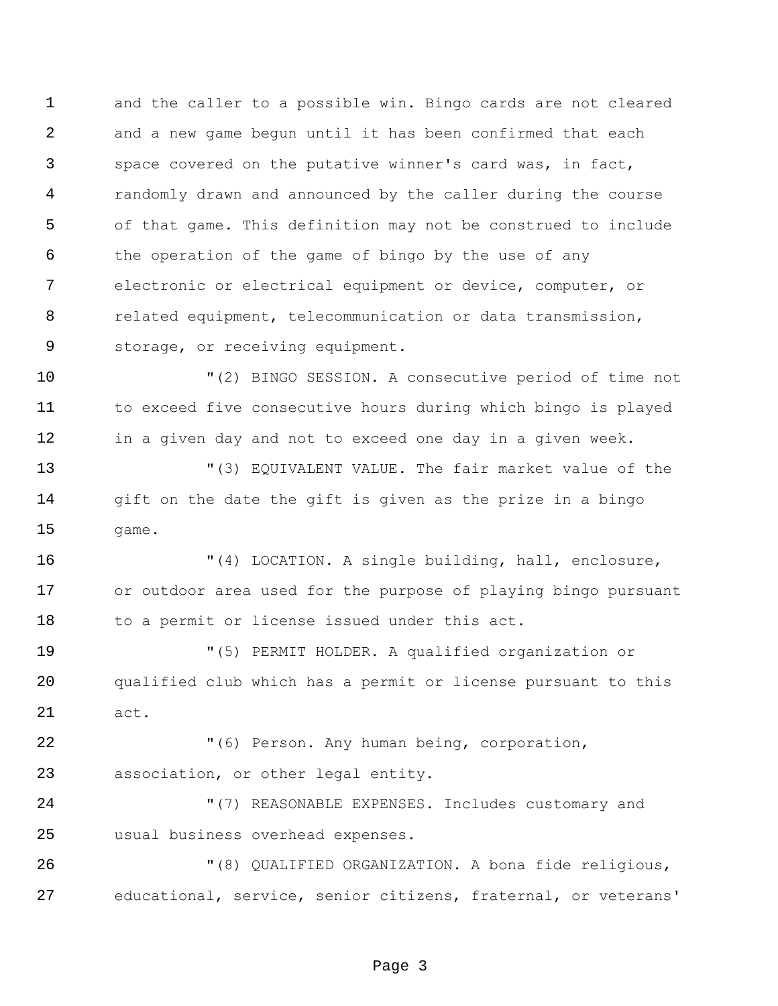and the caller to a possible win. Bingo cards are not cleared and a new game begun until it has been confirmed that each space covered on the putative winner's card was, in fact, randomly drawn and announced by the caller during the course of that game. This definition may not be construed to include the operation of the game of bingo by the use of any electronic or electrical equipment or device, computer, or related equipment, telecommunication or data transmission, storage, or receiving equipment.

 "(2) BINGO SESSION. A consecutive period of time not to exceed five consecutive hours during which bingo is played in a given day and not to exceed one day in a given week.

 "(3) EQUIVALENT VALUE. The fair market value of the 14 gift on the date the gift is given as the prize in a bingo game.

 "(4) LOCATION. A single building, hall, enclosure, or outdoor area used for the purpose of playing bingo pursuant 18 to a permit or license issued under this act.

 "(5) PERMIT HOLDER. A qualified organization or qualified club which has a permit or license pursuant to this act.

 "(6) Person. Any human being, corporation, association, or other legal entity.

 "(7) REASONABLE EXPENSES. Includes customary and usual business overhead expenses.

 "(8) QUALIFIED ORGANIZATION. A bona fide religious, educational, service, senior citizens, fraternal, or veterans'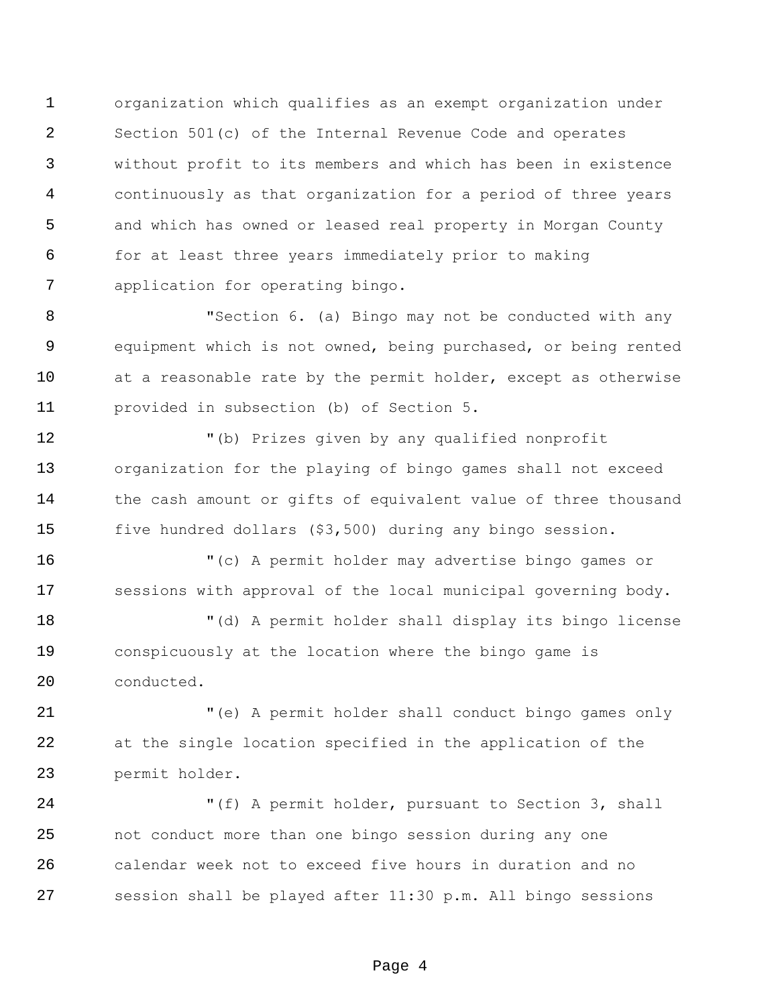organization which qualifies as an exempt organization under Section 501(c) of the Internal Revenue Code and operates without profit to its members and which has been in existence continuously as that organization for a period of three years and which has owned or leased real property in Morgan County for at least three years immediately prior to making application for operating bingo.

 "Section 6. (a) Bingo may not be conducted with any equipment which is not owned, being purchased, or being rented at a reasonable rate by the permit holder, except as otherwise provided in subsection (b) of Section 5.

 "(b) Prizes given by any qualified nonprofit organization for the playing of bingo games shall not exceed 14 the cash amount or gifts of equivalent value of three thousand five hundred dollars (\$3,500) during any bingo session.

 "(c) A permit holder may advertise bingo games or sessions with approval of the local municipal governing body.

 "(d) A permit holder shall display its bingo license conspicuously at the location where the bingo game is conducted.

 "(e) A permit holder shall conduct bingo games only at the single location specified in the application of the permit holder.

 "(f) A permit holder, pursuant to Section 3, shall not conduct more than one bingo session during any one calendar week not to exceed five hours in duration and no session shall be played after 11:30 p.m. All bingo sessions